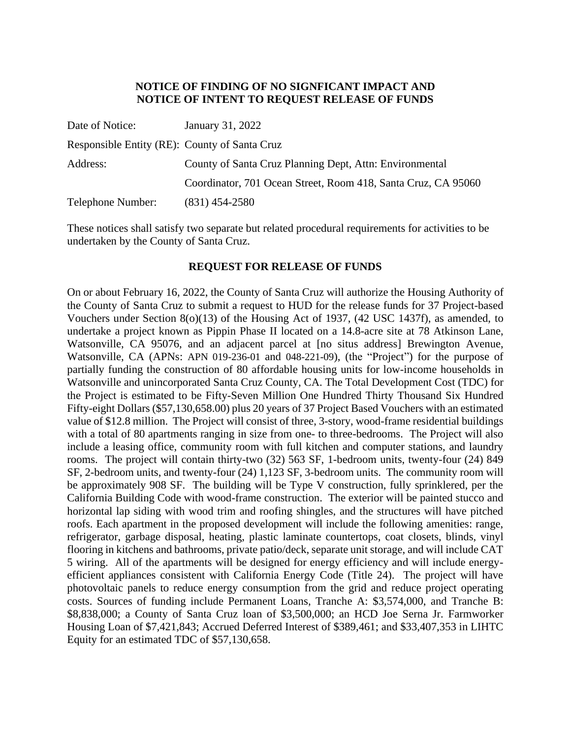# **NOTICE OF FINDING OF NO SIGNFICANT IMPACT AND NOTICE OF INTENT TO REQUEST RELEASE OF FUNDS**

| Date of Notice:                               | January 31, 2022                                              |
|-----------------------------------------------|---------------------------------------------------------------|
| Responsible Entity (RE): County of Santa Cruz |                                                               |
| Address:                                      | County of Santa Cruz Planning Dept, Attn: Environmental       |
|                                               | Coordinator, 701 Ocean Street, Room 418, Santa Cruz, CA 95060 |
| Telephone Number:                             | $(831)$ 454-2580                                              |

These notices shall satisfy two separate but related procedural requirements for activities to be undertaken by the County of Santa Cruz.

# **REQUEST FOR RELEASE OF FUNDS**

On or about February 16, 2022, the County of Santa Cruz will authorize the Housing Authority of the County of Santa Cruz to submit a request to HUD for the release funds for 37 Project-based Vouchers under Section 8(o)(13) of the Housing Act of 1937, (42 USC 1437f), as amended, to undertake a project known as Pippin Phase II located on a 14.8-acre site at 78 Atkinson Lane, Watsonville, CA 95076, and an adjacent parcel at [no situs address] Brewington Avenue, Watsonville, CA (APNs: APN 019-236-01 and 048-221-09), (the "Project") for the purpose of partially funding the construction of 80 affordable housing units for low-income households in Watsonville and unincorporated Santa Cruz County, CA. The Total Development Cost (TDC) for the Project is estimated to be Fifty-Seven Million One Hundred Thirty Thousand Six Hundred Fifty-eight Dollars (\$57,130,658.00) plus 20 years of 37 Project Based Vouchers with an estimated value of \$12.8 million. The Project will consist of three, 3-story, wood-frame residential buildings with a total of 80 apartments ranging in size from one- to three-bedrooms. The Project will also include a leasing office, community room with full kitchen and computer stations, and laundry rooms. The project will contain thirty-two (32) 563 SF, 1-bedroom units, twenty-four (24) 849 SF, 2-bedroom units, and twenty-four (24) 1,123 SF, 3-bedroom units. The community room will be approximately 908 SF. The building will be Type V construction, fully sprinklered, per the California Building Code with wood-frame construction. The exterior will be painted stucco and horizontal lap siding with wood trim and roofing shingles, and the structures will have pitched roofs. Each apartment in the proposed development will include the following amenities: range, refrigerator, garbage disposal, heating, plastic laminate countertops, coat closets, blinds, vinyl flooring in kitchens and bathrooms, private patio/deck, separate unit storage, and will include CAT 5 wiring. All of the apartments will be designed for energy efficiency and will include energyefficient appliances consistent with California Energy Code (Title 24). The project will have photovoltaic panels to reduce energy consumption from the grid and reduce project operating costs. Sources of funding include Permanent Loans, Tranche A: \$3,574,000, and Tranche B: \$8,838,000; a County of Santa Cruz loan of \$3,500,000; an HCD Joe Serna Jr. Farmworker Housing Loan of \$7,421,843; Accrued Deferred Interest of \$389,461; and \$33,407,353 in LIHTC Equity for an estimated TDC of \$57,130,658.